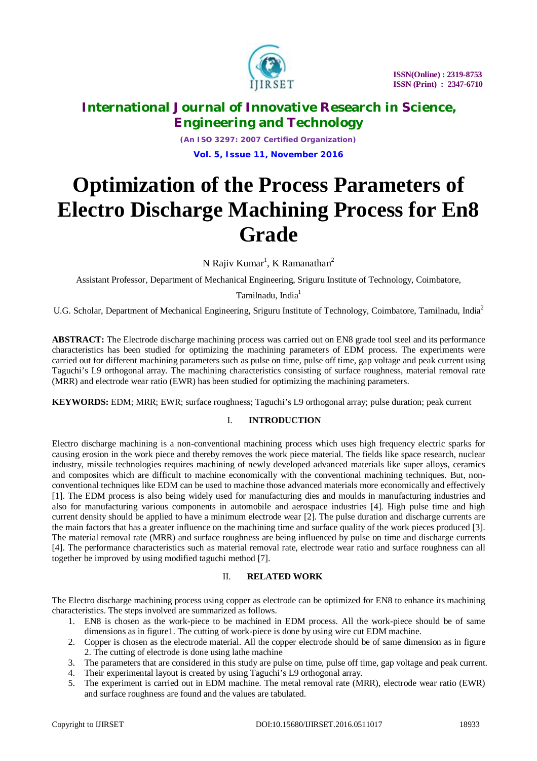

*(An ISO 3297: 2007 Certified Organization)* **Vol. 5, Issue 11, November 2016**

# **Optimization of the Process Parameters of Electro Discharge Machining Process for En8 Grade**

N Rajiv Kumar<sup>1</sup>, K Ramanathan<sup>2</sup>

Assistant Professor, Department of Mechanical Engineering, Sriguru Institute of Technology, Coimbatore,

Tamilnadu, India<sup>1</sup>

U.G. Scholar, Department of Mechanical Engineering, Sriguru Institute of Technology, Coimbatore, Tamilnadu, India<sup>2</sup>

**ABSTRACT:** The Electrode discharge machining process was carried out on EN8 grade tool steel and its performance characteristics has been studied for optimizing the machining parameters of EDM process. The experiments were carried out for different machining parameters such as pulse on time, pulse off time, gap voltage and peak current using Taguchi's L9 orthogonal array. The machining characteristics consisting of surface roughness, material removal rate (MRR) and electrode wear ratio (EWR) has been studied for optimizing the machining parameters.

**KEYWORDS:** EDM; MRR; EWR; surface roughness; Taguchi's L9 orthogonal array; pulse duration; peak current

# I. **INTRODUCTION**

Electro discharge machining is a non-conventional machining process which uses high frequency electric sparks for causing erosion in the work piece and thereby removes the work piece material. The fields like space research, nuclear industry, missile technologies requires machining of newly developed advanced materials like super alloys, ceramics and composites which are difficult to machine economically with the conventional machining techniques. But, nonconventional techniques like EDM can be used to machine those advanced materials more economically and effectively [1]. The EDM process is also being widely used for manufacturing dies and moulds in manufacturing industries and also for manufacturing various components in automobile and aerospace industries [4]. High pulse time and high current density should be applied to have a minimum electrode wear [2]. The pulse duration and discharge currents are the main factors that has a greater influence on the machining time and surface quality of the work pieces produced [3]. The material removal rate (MRR) and surface roughness are being influenced by pulse on time and discharge currents [4]. The performance characteristics such as material removal rate, electrode wear ratio and surface roughness can all together be improved by using modified taguchi method [7].

## II. **RELATED WORK**

The Electro discharge machining process using copper as electrode can be optimized for EN8 to enhance its machining characteristics. The steps involved are summarized as follows.

- 1. EN8 is chosen as the work-piece to be machined in EDM process. All the work-piece should be of same dimensions as in figure1. The cutting of work-piece is done by using wire cut EDM machine.
- 2. Copper is chosen as the electrode material. All the copper electrode should be of same dimension as in figure 2. The cutting of electrode is done using lathe machine
- 3. The parameters that are considered in this study are pulse on time, pulse off time, gap voltage and peak current.
- 4. Their experimental layout is created by using Taguchi's L9 orthogonal array.
- 5. The experiment is carried out in EDM machine. The metal removal rate (MRR), electrode wear ratio (EWR) and surface roughness are found and the values are tabulated.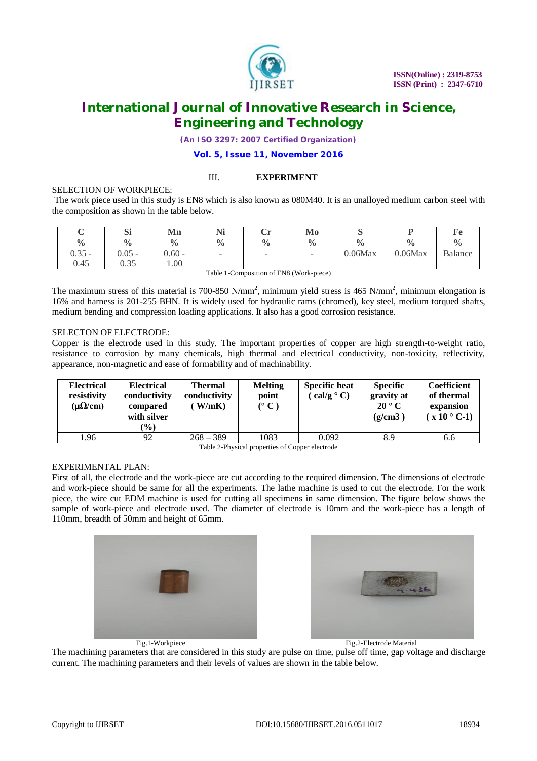

*(An ISO 3297: 2007 Certified Organization)*

**Vol. 5, Issue 11, November 2016**

#### III. **EXPERIMENT**

#### SELECTION OF WORKPIECE:

The work piece used in this study is EN8 which is also known as 080M40. It is an unalloyed medium carbon steel with the composition as shown in the table below.

| ◡             | Si            | Mn            | <b>NTS</b><br><b>TAT</b> | ۰.,<br>◡      | Mo            | ົ             |               |               |
|---------------|---------------|---------------|--------------------------|---------------|---------------|---------------|---------------|---------------|
| $\frac{0}{0}$ | $\frac{0}{0}$ | $\frac{0}{0}$ | $\frac{0}{0}$            | $\frac{0}{0}$ | $\frac{0}{0}$ | $\frac{0}{0}$ | $\frac{0}{0}$ | $\frac{0}{6}$ |
| $0.35 -$      | $0.05 -$      | $0.60 -$      | -                        | -             | -             | 0.06Max       | 0.06Max       | Balance       |
| 0.45          | 0.35          | 1.00          |                          |               |               |               |               |               |

Table 1-Composition of EN8 (Work-piece)

The maximum stress of this material is 700-850 N/mm<sup>2</sup>, minimum yield stress is 465 N/mm<sup>2</sup>, minimum elongation is 16% and harness is 201-255 BHN. It is widely used for hydraulic rams (chromed), key steel, medium torqued shafts, medium bending and compression loading applications. It also has a good corrosion resistance.

## SELECTON OF ELECTRODE:

Copper is the electrode used in this study. The important properties of copper are high strength-to-weight ratio, resistance to corrosion by many chemicals, high thermal and electrical conductivity, non-toxicity, reflectivity, appearance, non-magnetic and ease of formability and of machinability.

| <b>Electrical</b><br>resistivity<br>$(\mu\Omega/cm)$ | <b>Electrical</b><br>conductivity<br>compared<br>with silver<br>$(\%)$ | <b>Thermal</b><br>conductivity<br>W/mK | <b>Melting</b><br>point<br>$\rm ^{o}$ C) | <b>Specific heat</b><br>$cal{C}$ cal/g $^{\circ}$ C) | <b>Specific</b><br>gravity at<br>$20^{\circ}$ C<br>(g/cm3) | Coefficient<br>of thermal<br>expansion<br>$(x 10^{\circ} C-1)$ |
|------------------------------------------------------|------------------------------------------------------------------------|----------------------------------------|------------------------------------------|------------------------------------------------------|------------------------------------------------------------|----------------------------------------------------------------|
| 1.96                                                 | 92                                                                     | $268 - 389$                            | 1083                                     | 0.092                                                | 8.9                                                        | 6.6                                                            |

Table 2-Physical properties of Copper electrode

## EXPERIMENTAL PLAN:

First of all, the electrode and the work-piece are cut according to the required dimension. The dimensions of electrode and work-piece should be same for all the experiments. The lathe machine is used to cut the electrode. For the work piece, the wire cut EDM machine is used for cutting all specimens in same dimension. The figure below shows the sample of work-piece and electrode used. The diameter of electrode is 10mm and the work-piece has a length of 110mm, breadth of 50mm and height of 65mm.





The machining parameters that are considered in this study are pulse on time, pulse off time, gap voltage and discharge current. The machining parameters and their levels of values are shown in the table below.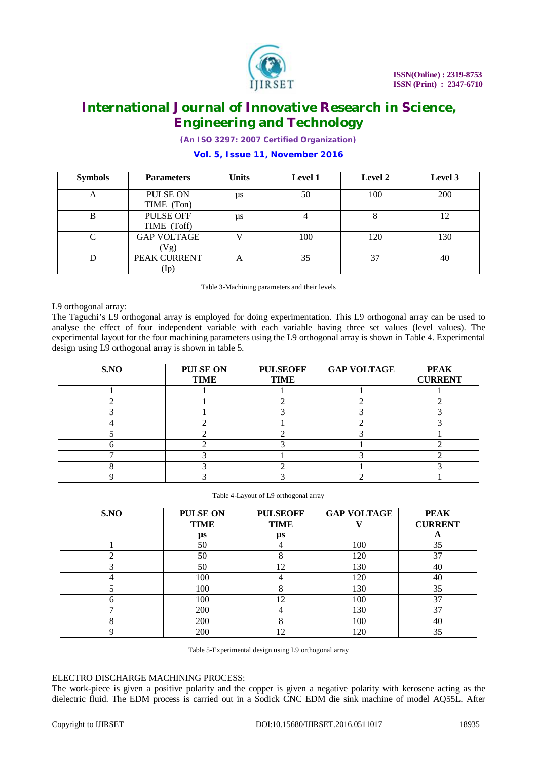

*(An ISO 3297: 2007 Certified Organization)*

#### **Symbols Parameters Units Level 1 Level 2 Level 3** A PULSE ON TIME (Ton) µs 50 100 200 B PULSE OFF TIME (Toff) µs 4 8 12 C GAP VOLTAGE  $(Vg)$ V | 100 | 120 | 130 D **PEAK CURRENT** (Ip) A | 35 | 37 | 40

# **Vol. 5, Issue 11, November 2016**

Table 3-Machining parameters and their levels

L9 orthogonal array:

The Taguchi's L9 orthogonal array is employed for doing experimentation. This L9 orthogonal array can be used to analyse the effect of four independent variable with each variable having three set values (level values). The experimental layout for the four machining parameters using the L9 orthogonal array is shown in Table 4. Experimental design using L9 orthogonal array is shown in table 5.

| S.NO | PULSE ON<br><b>TIME</b> | <b>PULSEOFF</b><br><b>TIME</b> | <b>GAP VOLTAGE</b> | <b>PEAK</b><br><b>CURRENT</b> |
|------|-------------------------|--------------------------------|--------------------|-------------------------------|
|      |                         |                                |                    |                               |
|      |                         |                                |                    |                               |
|      |                         |                                |                    |                               |
|      |                         |                                |                    |                               |
|      |                         |                                |                    |                               |
|      |                         |                                |                    |                               |
|      |                         |                                |                    |                               |
|      |                         |                                |                    |                               |
|      |                         |                                |                    |                               |
|      |                         |                                |                    |                               |

Table 4-Layout of L9 orthogonal array

| S.NO | <b>PULSE ON</b> | <b>PULSEOFF</b> | <b>GAP VOLTAGE</b> | <b>PEAK</b>    |
|------|-----------------|-----------------|--------------------|----------------|
|      | <b>TIME</b>     | <b>TIME</b>     |                    | <b>CURRENT</b> |
|      | μs              | μs              |                    | A              |
|      | 50              |                 | 100                | 35             |
|      | 50              | Ω<br>Λ          | 120                | 37             |
|      | 50              | 12              | 130                | 40             |
|      | 100             |                 | 120                | 40             |
|      | 100             | Ω               | 130                | 35             |
|      | 100             | 12              | 100                | 37             |
|      | 200             |                 | 130                | 37             |
|      | 200             |                 | 100                | 40             |
|      | 200             | 12              | 120                | 35             |

Table 5-Experimental design using L9 orthogonal array

# ELECTRO DISCHARGE MACHINING PROCESS:

The work-piece is given a positive polarity and the copper is given a negative polarity with kerosene acting as the dielectric fluid. The EDM process is carried out in a Sodick CNC EDM die sink machine of model AQ55L. After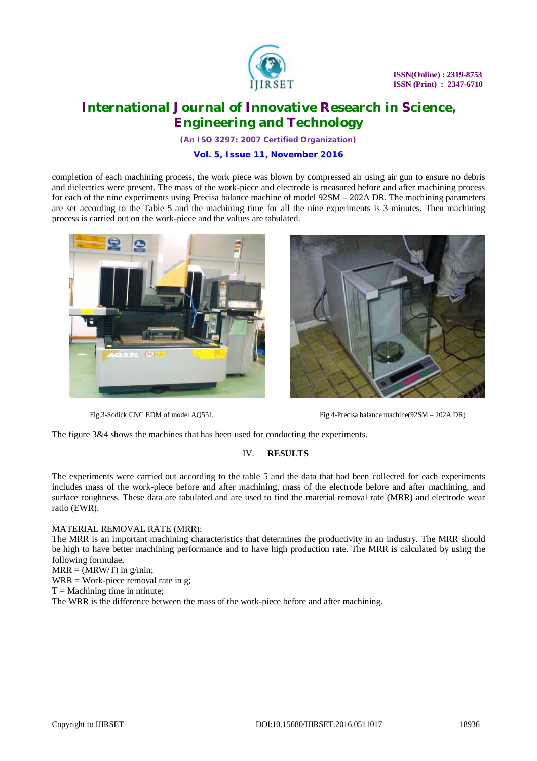

*(An ISO 3297: 2007 Certified Organization)*

## **Vol. 5, Issue 11, November 2016**

completion of each machining process, the work piece was blown by compressed air using air gun to ensure no debris and dielectrics were present. The mass of the work-piece and electrode is measured before and after machining process for each of the nine experiments using Precisa balance machine of model 92SM – 202A DR. The machining parameters are set according to the Table 5 and the machining time for all the nine experiments is 3 minutes. Then machining process is carried out on the work-piece and the values are tabulated.





Fig.3-Sodick CNC EDM of model AQ55L Fig.4-Precisa balance machine(92SM – 202A DR)

The figure 3&4 shows the machines that has been used for conducting the experiments.

## IV. **RESULTS**

The experiments were carried out according to the table 5 and the data that had been collected for each experiments includes mass of the work-piece before and after machining, mass of the electrode before and after machining, and surface roughness. These data are tabulated and are used to find the material removal rate (MRR) and electrode wear ratio (EWR).

## MATERIAL REMOVAL RATE (MRR):

The MRR is an important machining characteristics that determines the productivity in an industry. The MRR should be high to have better machining performance and to have high production rate. The MRR is calculated by using the following formulae,

 $MRR = (MRW/T)$  in g/min;

 $WRR = Work$ -piece removal rate in g;

 $T =$  Machining time in minute:

The WRR is the difference between the mass of the work-piece before and after machining.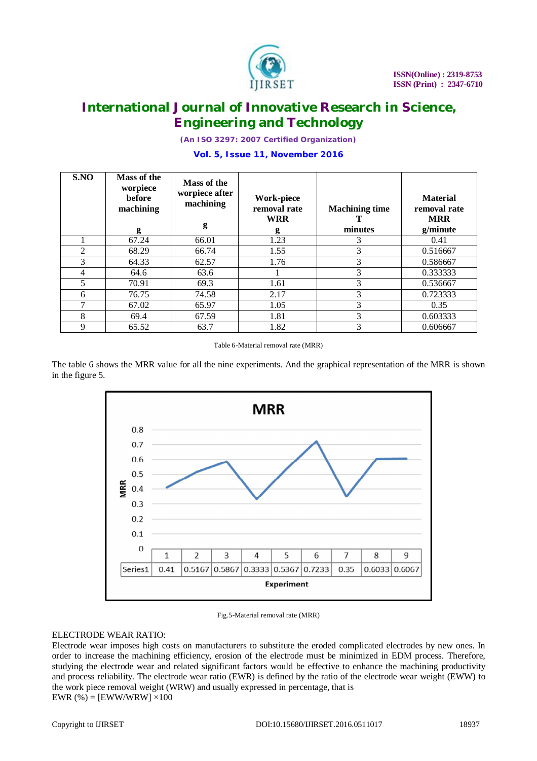

*(An ISO 3297: 2007 Certified Organization)*

## **Vol. 5, Issue 11, November 2016**

| S.NO | Mass of the<br>worpiece<br><b>before</b><br>machining<br>g | Mass of the<br>worpiece after<br>machining<br>g | <b>Work-piece</b><br>removal rate<br><b>WRR</b><br>g | <b>Machining time</b><br>minutes | <b>Material</b><br>removal rate<br><b>MRR</b><br>g/minute |
|------|------------------------------------------------------------|-------------------------------------------------|------------------------------------------------------|----------------------------------|-----------------------------------------------------------|
|      | 67.24                                                      | 66.01                                           | 1.23                                                 | 3                                | 0.41                                                      |
| 2    | 68.29                                                      | 66.74                                           | 1.55                                                 | 3                                | 0.516667                                                  |
| 3    | 64.33                                                      | 62.57                                           | 1.76                                                 | 3                                | 0.586667                                                  |
| 4    | 64.6                                                       | 63.6                                            |                                                      | 3                                | 0.333333                                                  |
| 5    | 70.91                                                      | 69.3                                            | 1.61                                                 | 3                                | 0.536667                                                  |
| 6    | 76.75                                                      | 74.58                                           | 2.17                                                 | 3                                | 0.723333                                                  |
|      | 67.02                                                      | 65.97                                           | 1.05                                                 | 3                                | 0.35                                                      |
| 8    | 69.4                                                       | 67.59                                           | 1.81                                                 | 3                                | 0.603333                                                  |
| 9    | 65.52                                                      | 63.7                                            | 1.82                                                 | 3                                | 0.606667                                                  |

Table 6-Material removal rate (MRR)

The table 6 shows the MRR value for all the nine experiments. And the graphical representation of the MRR is shown in the figure 5.



Fig.5-Material removal rate (MRR)

## ELECTRODE WEAR RATIO:

Electrode wear imposes high costs on manufacturers to substitute the eroded complicated electrodes by new ones. In order to increase the machining efficiency, erosion of the electrode must be minimized in EDM process. Therefore, studying the electrode wear and related significant factors would be effective to enhance the machining productivity and process reliability. The electrode wear ratio (EWR) is defined by the ratio of the electrode wear weight (EWW) to the work piece removal weight (WRW) and usually expressed in percentage, that is EWR  $%$  = [EWW/WRW]  $\times$ 100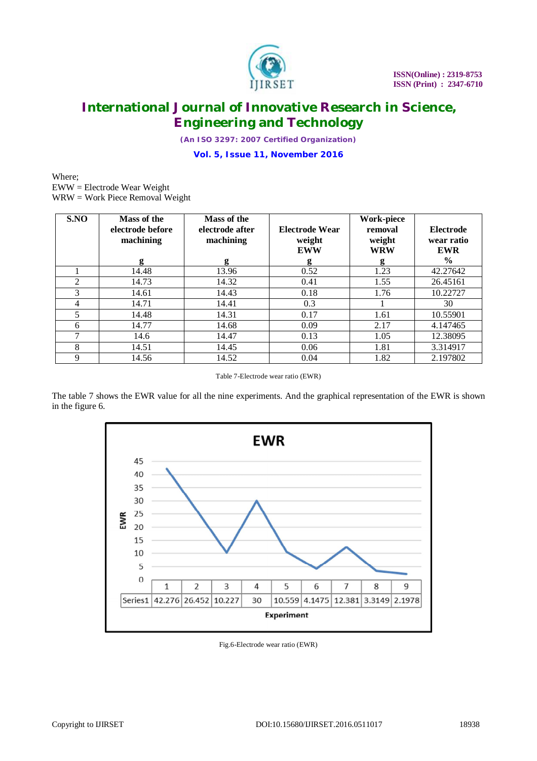

*(An ISO 3297: 2007 Certified Organization)*

**Vol. 5, Issue 11, November 2016**

Where; EWW = Electrode Wear Weight WRW = Work Piece Removal Weight

| S.NO | Mass of the<br>electrode before<br>machining<br>g | Mass of the<br>electrode after<br>machining<br>g | Electrode Wear<br>weight<br><b>EWW</b><br>g | <b>Work-piece</b><br>removal<br>weight<br><b>WRW</b><br>g | <b>Electrode</b><br>wear ratio<br><b>EWR</b><br>$\frac{0}{0}$ |
|------|---------------------------------------------------|--------------------------------------------------|---------------------------------------------|-----------------------------------------------------------|---------------------------------------------------------------|
|      | 14.48                                             | 13.96                                            | 0.52                                        | 1.23                                                      | 42.27642                                                      |
| 2    | 14.73                                             | 14.32                                            | 0.41                                        | 1.55                                                      | 26.45161                                                      |
| 3    | 14.61                                             | 14.43                                            | 0.18                                        | 1.76                                                      | 10.22727                                                      |
| 4    | 14.71                                             | 14.41                                            | 0.3                                         |                                                           | 30                                                            |
| 5    | 14.48                                             | 14.31                                            | 0.17                                        | 1.61                                                      | 10.55901                                                      |
| 6    | 14.77                                             | 14.68                                            | 0.09                                        | 2.17                                                      | 4.147465                                                      |
| 7    | 14.6                                              | 14.47                                            | 0.13                                        | 1.05                                                      | 12.38095                                                      |
| 8    | 14.51                                             | 14.45                                            | 0.06                                        | 1.81                                                      | 3.314917                                                      |
| 9    | 14.56                                             | 14.52                                            | 0.04                                        | 1.82                                                      | 2.197802                                                      |

Table 7-Electrode wear ratio (EWR)

The table 7 shows the EWR value for all the nine experiments. And the graphical representation of the EWR is shown in the figure 6.



Fig.6-Electrode wear ratio (EWR)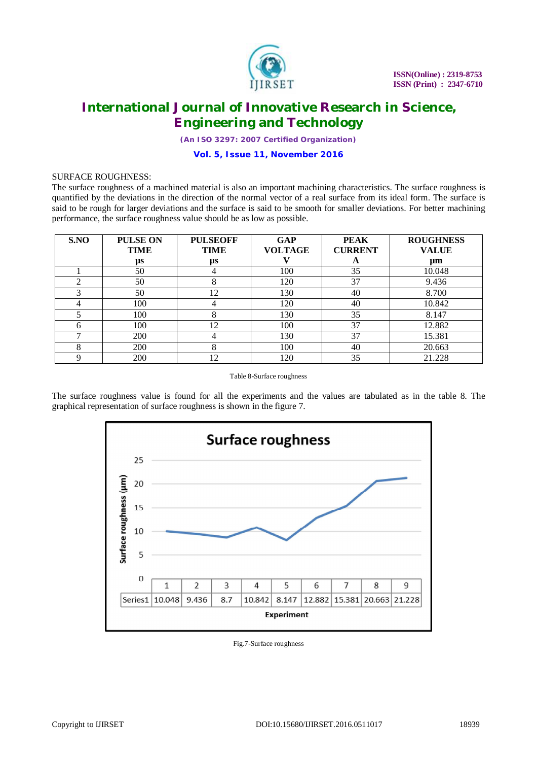

*(An ISO 3297: 2007 Certified Organization)*

## **Vol. 5, Issue 11, November 2016**

#### SURFACE ROUGHNESS:

The surface roughness of a machined material is also an important machining characteristics. The surface roughness is quantified by the deviations in the direction of the normal vector of a real surface from its ideal form. The surface is said to be rough for larger deviations and the surface is said to be smooth for smaller deviations. For better machining performance, the surface roughness value should be as low as possible.

| S.NO         | <b>PULSE ON</b> | <b>PULSEOFF</b> | <b>GAP</b>     | <b>PEAK</b>    | <b>ROUGHNESS</b> |
|--------------|-----------------|-----------------|----------------|----------------|------------------|
|              | <b>TIME</b>     | <b>TIME</b>     | <b>VOLTAGE</b> | <b>CURRENT</b> | <b>VALUE</b>     |
|              | $\mu$ s         | μs              |                | A              | $\mu$ m          |
|              | 50              |                 | 100            | 35             | 10.048           |
|              | 50              | ົ               | 120            | 37             | 9.436            |
|              | 50              | 12              | 130            | 40             | 8.700            |
|              | 100             |                 | 120            | 40             | 10.842           |
|              | 100             |                 | 130            | 35             | 8.147            |
| <sub>0</sub> | 100             | 12              | 100            | 37             | 12.882           |
|              | <b>200</b>      |                 | 130            | 37             | 15.381           |
| 8            | <b>200</b>      |                 | 100            | 40             | 20.663           |
|              | 200             | 12              | 120            | 35             | 21.228           |

Table 8-Surface roughness

The surface roughness value is found for all the experiments and the values are tabulated as in the table 8. The graphical representation of surface roughness is shown in the figure 7.



Fig.7-Surface roughness